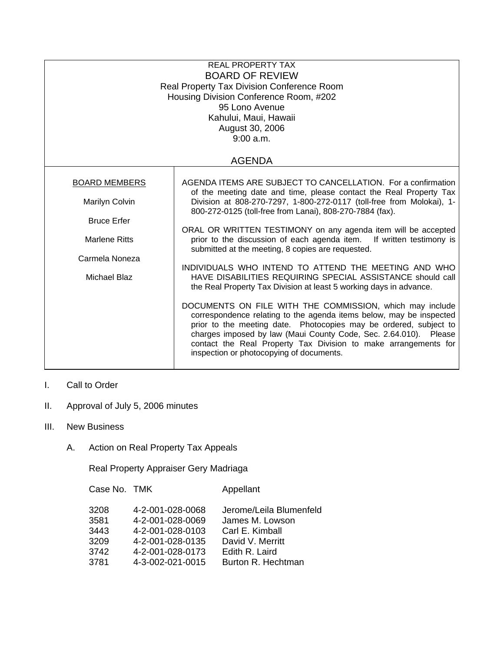| <b>REAL PROPERTY TAX</b><br><b>BOARD OF REVIEW</b><br>Real Property Tax Division Conference Room<br>Housing Division Conference Room, #202<br>95 Lono Avenue<br>Kahului, Maui, Hawaii<br>August 30, 2006<br>9:00 a.m. |                                                                                                                                                                                                                                                                                                                                                                                                                                                                                                                                                                                                                                                                                                                                                                                                                                                                                                                                                                                                                                                              |  |  |  |
|-----------------------------------------------------------------------------------------------------------------------------------------------------------------------------------------------------------------------|--------------------------------------------------------------------------------------------------------------------------------------------------------------------------------------------------------------------------------------------------------------------------------------------------------------------------------------------------------------------------------------------------------------------------------------------------------------------------------------------------------------------------------------------------------------------------------------------------------------------------------------------------------------------------------------------------------------------------------------------------------------------------------------------------------------------------------------------------------------------------------------------------------------------------------------------------------------------------------------------------------------------------------------------------------------|--|--|--|
|                                                                                                                                                                                                                       | <b>AGENDA</b>                                                                                                                                                                                                                                                                                                                                                                                                                                                                                                                                                                                                                                                                                                                                                                                                                                                                                                                                                                                                                                                |  |  |  |
| <b>BOARD MEMBERS</b><br>Marilyn Colvin<br><b>Bruce Erfer</b><br><b>Marlene Ritts</b><br>Carmela Noneza<br>Michael Blaz                                                                                                | AGENDA ITEMS ARE SUBJECT TO CANCELLATION. For a confirmation<br>of the meeting date and time, please contact the Real Property Tax<br>Division at 808-270-7297, 1-800-272-0117 (toll-free from Molokai), 1-<br>800-272-0125 (toll-free from Lanai), 808-270-7884 (fax).<br>ORAL OR WRITTEN TESTIMONY on any agenda item will be accepted<br>prior to the discussion of each agenda item. If written testimony is<br>submitted at the meeting, 8 copies are requested.<br>INDIVIDUALS WHO INTEND TO ATTEND THE MEETING AND WHO<br>HAVE DISABILITIES REQUIRING SPECIAL ASSISTANCE should call<br>the Real Property Tax Division at least 5 working days in advance.<br>DOCUMENTS ON FILE WITH THE COMMISSION, which may include<br>correspondence relating to the agenda items below, may be inspected<br>prior to the meeting date. Photocopies may be ordered, subject to<br>charges imposed by law (Maui County Code, Sec. 2.64.010). Please<br>contact the Real Property Tax Division to make arrangements for<br>inspection or photocopying of documents. |  |  |  |

- I. Call to Order
- II. Approval of July 5, 2006 minutes
- III. New Business
	- A. Action on Real Property Tax Appeals

Real Property Appraiser Gery Madriaga

| Case No. TMK |                  | Appellant               |
|--------------|------------------|-------------------------|
| 3208         | 4-2-001-028-0068 | Jerome/Leila Blumenfeld |
| 3581         | 4-2-001-028-0069 | James M. Lowson         |
| 3443         | 4-2-001-028-0103 | Carl E. Kimball         |
| 3209         | 4-2-001-028-0135 | David V. Merritt        |
| 3742         | 4-2-001-028-0173 | Edith R. Laird          |
| 3781         | 4-3-002-021-0015 | Burton R. Hechtman      |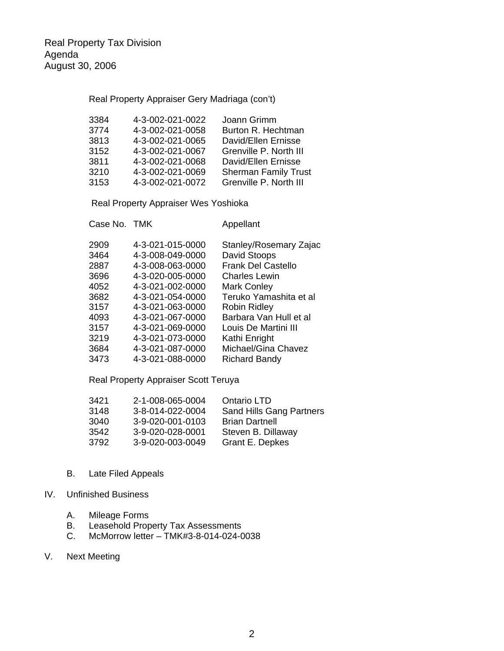## Real Property Appraiser Gery Madriaga (con't)

| 3384 | 4-3-002-021-0022 | Joann Grimm                 |
|------|------------------|-----------------------------|
| 3774 | 4-3-002-021-0058 | Burton R. Hechtman          |
| 3813 | 4-3-002-021-0065 | David/Ellen Ernisse         |
| 3152 | 4-3-002-021-0067 | Grenville P. North III      |
| 3811 | 4-3-002-021-0068 | David/Ellen Ernisse         |
| 3210 | 4-3-002-021-0069 | <b>Sherman Family Trust</b> |
| 3153 | 4-3-002-021-0072 | Grenville P. North III      |

Real Property Appraiser Wes Yoshioka

|      | Case No. TMK     | Appellant                 |
|------|------------------|---------------------------|
| 2909 | 4-3-021-015-0000 | Stanley/Rosemary Zajac    |
| 3464 | 4-3-008-049-0000 | David Stoops              |
| 2887 | 4-3-008-063-0000 | <b>Frank Del Castello</b> |
| 3696 | 4-3-020-005-0000 | <b>Charles Lewin</b>      |
| 4052 | 4-3-021-002-0000 | <b>Mark Conley</b>        |
| 3682 | 4-3-021-054-0000 | Teruko Yamashita et al    |
| 3157 | 4-3-021-063-0000 | <b>Robin Ridley</b>       |
| 4093 | 4-3-021-067-0000 | Barbara Van Hull et al    |
| 3157 | 4-3-021-069-0000 | Louis De Martini III      |
| 3219 | 4-3-021-073-0000 | Kathi Enright             |
| 3684 | 4-3-021-087-0000 | Michael/Gina Chavez       |
| 3473 | 4-3-021-088-0000 | <b>Richard Bandy</b>      |

## Real Property Appraiser Scott Teruya

| 3421 | 2-1-008-065-0004 | Ontario LTD                     |
|------|------------------|---------------------------------|
| 3148 | 3-8-014-022-0004 | <b>Sand Hills Gang Partners</b> |
| 3040 | 3-9-020-001-0103 | <b>Brian Dartnell</b>           |
| 3542 | 3-9-020-028-0001 | Steven B. Dillaway              |
| 3792 | 3-9-020-003-0049 | Grant E. Depkes                 |

B. Late Filed Appeals

## IV. Unfinished Business

- A. Mileage Forms
- B. Leasehold Property Tax Assessments<br>C. McMorrow letter TMK#3-8-014-024-0
- C. McMorrow letter TMK#3-8-014-024-0038
- V. Next Meeting